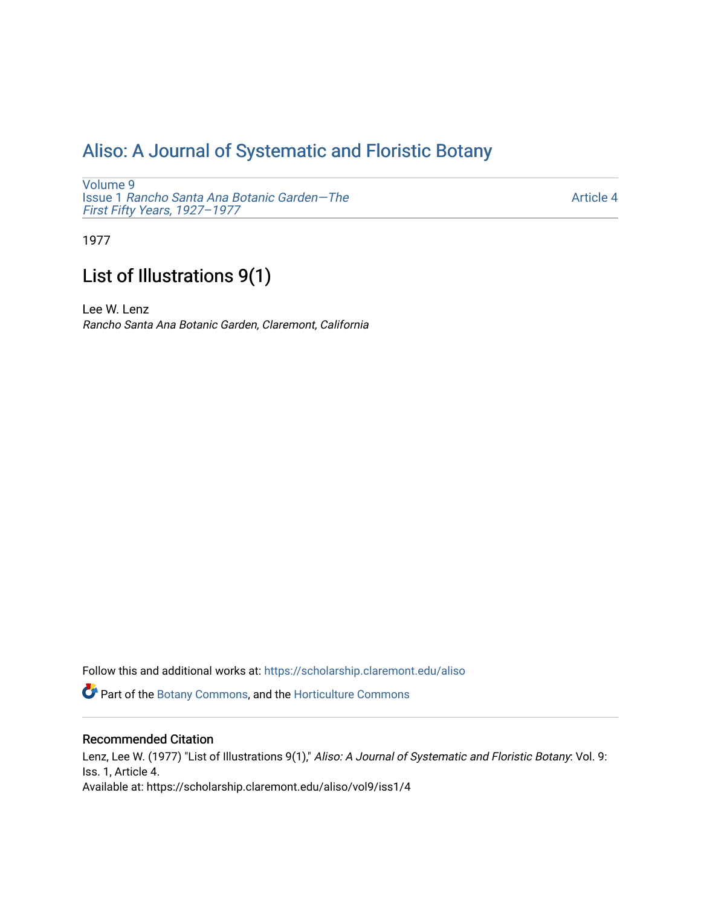## [Aliso: A Journal of Systematic and Floristic Botany](https://scholarship.claremont.edu/aliso)

[Volume 9](https://scholarship.claremont.edu/aliso/vol9) Issue 1 [Rancho Santa Ana Botanic Garden—The](https://scholarship.claremont.edu/aliso/vol9/iss1) [First Fifty Years, 1927–1977](https://scholarship.claremont.edu/aliso/vol9/iss1) 

[Article 4](https://scholarship.claremont.edu/aliso/vol9/iss1/4) 

1977

## List of Illustrations 9(1)

Lee W. Lenz Rancho Santa Ana Botanic Garden, Claremont, California

Follow this and additional works at: [https://scholarship.claremont.edu/aliso](https://scholarship.claremont.edu/aliso?utm_source=scholarship.claremont.edu%2Faliso%2Fvol9%2Fiss1%2F4&utm_medium=PDF&utm_campaign=PDFCoverPages) 

Part of the [Botany Commons,](https://network.bepress.com/hgg/discipline/104?utm_source=scholarship.claremont.edu%2Faliso%2Fvol9%2Fiss1%2F4&utm_medium=PDF&utm_campaign=PDFCoverPages) and the [Horticulture Commons](https://network.bepress.com/hgg/discipline/105?utm_source=scholarship.claremont.edu%2Faliso%2Fvol9%2Fiss1%2F4&utm_medium=PDF&utm_campaign=PDFCoverPages)

## Recommended Citation

Lenz, Lee W. (1977) "List of Illustrations 9(1)," Aliso: A Journal of Systematic and Floristic Botany: Vol. 9: Iss. 1, Article 4. Available at: https://scholarship.claremont.edu/aliso/vol9/iss1/4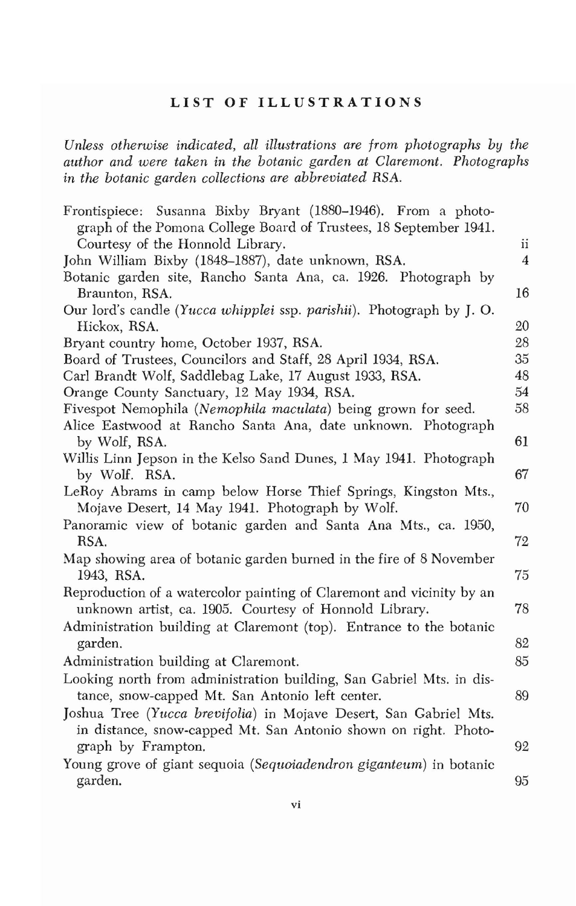## **LIST OF ILLUSTRATIONS**

*Unless otherwise indicated, all illustrations are from photographs by the author and were taken in the botanic garden at Claremont. Photographs in the botanic garden collections are abbreviated RSA.* 

| Frontispiece: Susanna Bixby Bryant (1880–1946). From a photo-         |                |
|-----------------------------------------------------------------------|----------------|
| graph of the Pomona College Board of Trustees, 18 September 1941.     |                |
| Courtesy of the Honnold Library.                                      | ii             |
| John William Bixby (1848–1887), date unknown, RSA.                    | $\overline{4}$ |
| Botanic garden site, Rancho Santa Ana, ca. 1926. Photograph by        |                |
| Braunton, RSA.                                                        | 16             |
| Our lord's candle (Yucca whipplei ssp. parishii). Photograph by J. O. |                |
| Hickox, RSA.                                                          | 20             |
| Bryant country home, October 1937, RSA.                               | 28             |
| Board of Trustees, Councilors and Staff, 28 April 1934, RSA.          | 35             |
| Carl Brandt Wolf, Saddlebag Lake, 17 August 1933, RSA.                | 48             |
| Orange County Sanctuary, 12 May 1934, RSA.                            | 54             |
| Fivespot Nemophila (Nemophila maculata) being grown for seed.         | 58             |
| Alice Eastwood at Rancho Santa Ana, date unknown. Photograph          |                |
| by Wolf, RSA.                                                         | 61             |
| Willis Linn Jepson in the Kelso Sand Dunes, 1 May 1941. Photograph    |                |
| by Wolf. RSA.                                                         | 67             |
| LeRoy Abrams in camp below Horse Thief Springs, Kingston Mts.,        |                |
| Mojave Desert, 14 May 1941. Photograph by Wolf.                       | 70             |
| Panoramic view of botanic garden and Santa Ana Mts., ca. 1950,        |                |
| RSA.                                                                  | 72             |
| Map showing area of botanic garden burned in the fire of 8 November   |                |
| 1943, RSA.                                                            | 75             |
| Reproduction of a watercolor painting of Claremont and vicinity by an |                |
| unknown artist, ca. 1905. Courtesy of Honnold Library.                | 78             |
| Administration building at Claremont (top). Entrance to the botanic   |                |
| garden.                                                               | 82             |
| Administration building at Claremont.                                 | 85             |
| Looking north from administration building, San Gabriel Mts. in dis-  |                |
| tance, snow-capped Mt. San Antonio left center.                       | 89             |
| Joshua Tree (Yucca brevifolia) in Mojave Desert, San Gabriel Mts.     |                |
| in distance, snow-capped Mt. San Antonio shown on right. Photo-       |                |
| graph by Frampton.                                                    | 92             |
| Young grove of giant sequoia (Sequoiadendron giganteum) in botanic    |                |
| garden.                                                               | 95             |
|                                                                       |                |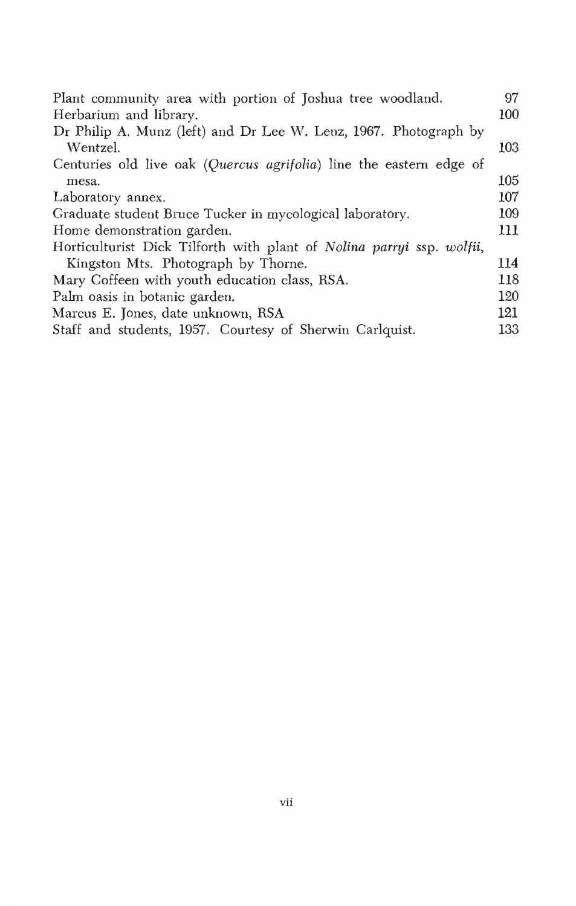| Plant community area with portion of Joshua tree woodland.            | 97  |
|-----------------------------------------------------------------------|-----|
| Herbarium and library.                                                | 100 |
| Dr Philip A. Munz (left) and Dr Lee W. Lenz, 1967. Photograph by      |     |
| Wentzel.                                                              | 103 |
| Centuries old live oak (Quercus agrifolia) line the eastern edge of   |     |
| mesa.                                                                 | 105 |
| Laboratory annex.                                                     | 107 |
| Graduate student Bruce Tucker in mycological laboratory.              | 109 |
| Home demonstration garden.                                            | 111 |
| Horticulturist Dick Tilforth with plant of Nolina parryi ssp. wolfii, |     |
| Kingston Mts. Photograph by Thorne.                                   | 114 |
| Mary Coffeen with youth education class, RSA.                         | 118 |
| Palm oasis in botanic garden.                                         | 120 |
| Marcus E. Jones, date unknown, RSA                                    | 121 |
| Staff and students, 1957. Courtesy of Sherwin Carlquist.              | 133 |